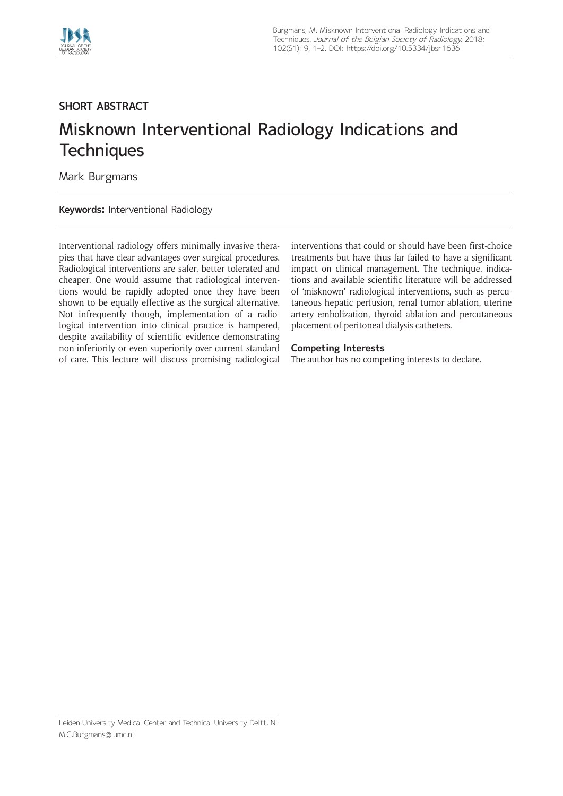

## **SHORT ABSTRACT**

## Misknown Interventional Radiology Indications and **Techniques**

Mark Burgmans

**Keywords:** Interventional Radiology

Interventional radiology offers minimally invasive therapies that have clear advantages over surgical procedures. Radiological interventions are safer, better tolerated and cheaper. One would assume that radiological interventions would be rapidly adopted once they have been shown to be equally effective as the surgical alternative. Not infrequently though, implementation of a radiological intervention into clinical practice is hampered, despite availability of scientific evidence demonstrating non-inferiority or even superiority over current standard of care. This lecture will discuss promising radiological interventions that could or should have been first-choice treatments but have thus far failed to have a significant impact on clinical management. The technique, indications and available scientific literature will be addressed of 'misknown' radiological interventions, such as percutaneous hepatic perfusion, renal tumor ablation, uterine artery embolization, thyroid ablation and percutaneous placement of peritoneal dialysis catheters.

## **Competing Interests**

The author has no competing interests to declare.

Leiden University Medical Center and Technical University Delft, NL [M.C.Burgmans@lumc.nl](mailto:M.C.Burgmans@lumc.nl)